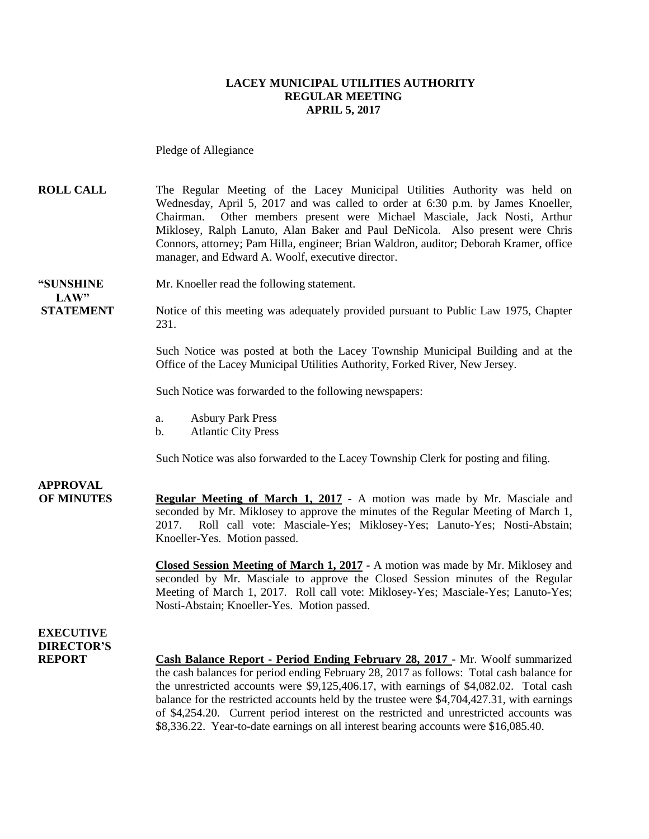#### **LACEY MUNICIPAL UTILITIES AUTHORITY REGULAR MEETING APRIL 5, 2017**

Pledge of Allegiance

**ROLL CALL** The Regular Meeting of the Lacey Municipal Utilities Authority was held on Wednesday, April 5, 2017 and was called to order at 6:30 p.m. by James Knoeller, Chairman. Other members present were Michael Masciale, Jack Nosti, Arthur Miklosey, Ralph Lanuto, Alan Baker and Paul DeNicola. Also present were Chris Connors, attorney; Pam Hilla, engineer; Brian Waldron, auditor; Deborah Kramer, office manager, and Edward A. Woolf, executive director.

#### **"SUNSHINE** Mr. Knoeller read the following statement. **LAW"**

**STATEMENT** Notice of this meeting was adequately provided pursuant to Public Law 1975, Chapter 231.

> Such Notice was posted at both the Lacey Township Municipal Building and at the Office of the Lacey Municipal Utilities Authority, Forked River, New Jersey.

Such Notice was forwarded to the following newspapers:

- a. Asbury Park Press
- b. Atlantic City Press

Such Notice was also forwarded to the Lacey Township Clerk for posting and filing.

## **APPROVAL**

**OF MINUTES Regular Meeting of March 1, 2017 -** A motion was made by Mr. Masciale and seconded by Mr. Miklosey to approve the minutes of the Regular Meeting of March 1, 2017. Roll call vote: Masciale-Yes; Miklosey-Yes; Lanuto-Yes; Nosti-Abstain; Knoeller-Yes. Motion passed.

> **Closed Session Meeting of March 1, 2017** - A motion was made by Mr. Miklosey and seconded by Mr. Masciale to approve the Closed Session minutes of the Regular Meeting of March 1, 2017. Roll call vote: Miklosey-Yes; Masciale-Yes; Lanuto-Yes; Nosti-Abstain; Knoeller-Yes. Motion passed.

#### **EXECUTIVE DIRECTOR'S**

**REPORT Cash Balance Report - Period Ending February 28, 2017** - Mr. Woolf summarized the cash balances for period ending February 28, 2017 as follows: Total cash balance for the unrestricted accounts were \$9,125,406.17, with earnings of \$4,082.02. Total cash balance for the restricted accounts held by the trustee were \$4,704,427.31, with earnings of \$4,254.20. Current period interest on the restricted and unrestricted accounts was \$8,336.22. Year-to-date earnings on all interest bearing accounts were \$16,085.40.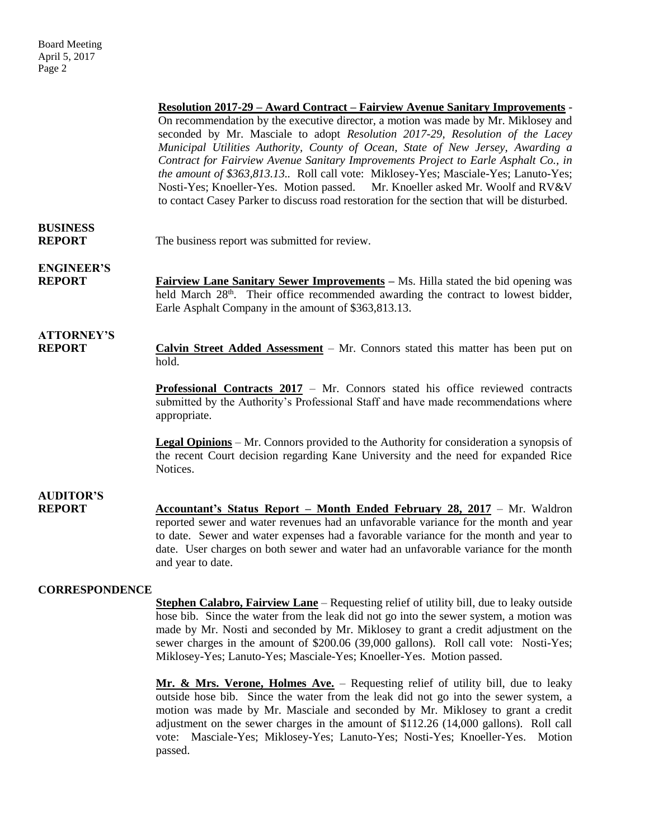|                                    | <u> Resolution 2017-29 – Award Contract – Fairview Avenue Sanitary Improvements</u><br>On recommendation by the executive director, a motion was made by Mr. Miklosey and<br>seconded by Mr. Masciale to adopt Resolution 2017-29, Resolution of the Lacey<br>Municipal Utilities Authority, County of Ocean, State of New Jersey, Awarding a<br>Contract for Fairview Avenue Sanitary Improvements Project to Earle Asphalt Co., in<br>the amount of \$363,813.13 Roll call vote: Miklosey-Yes; Masciale-Yes; Lanuto-Yes;<br>Nosti-Yes; Knoeller-Yes. Motion passed.<br>Mr. Knoeller asked Mr. Woolf and RV&V<br>to contact Casey Parker to discuss road restoration for the section that will be disturbed. |
|------------------------------------|---------------------------------------------------------------------------------------------------------------------------------------------------------------------------------------------------------------------------------------------------------------------------------------------------------------------------------------------------------------------------------------------------------------------------------------------------------------------------------------------------------------------------------------------------------------------------------------------------------------------------------------------------------------------------------------------------------------|
| <b>BUSINESS</b><br><b>REPORT</b>   | The business report was submitted for review.                                                                                                                                                                                                                                                                                                                                                                                                                                                                                                                                                                                                                                                                 |
| <b>ENGINEER'S</b><br><b>REPORT</b> | <b>Fairview Lane Sanitary Sewer Improvements</b> – Ms. Hilla stated the bid opening was<br>held March 28 <sup>th</sup> . Their office recommended awarding the contract to lowest bidder,<br>Earle Asphalt Company in the amount of \$363,813.13.                                                                                                                                                                                                                                                                                                                                                                                                                                                             |
| <b>ATTORNEY'S</b><br><b>REPORT</b> | Calvin Street Added Assessment – Mr. Connors stated this matter has been put on<br>hold.                                                                                                                                                                                                                                                                                                                                                                                                                                                                                                                                                                                                                      |
|                                    | Professional Contracts 2017 - Mr. Connors stated his office reviewed contracts<br>submitted by the Authority's Professional Staff and have made recommendations where<br>appropriate.                                                                                                                                                                                                                                                                                                                                                                                                                                                                                                                         |
|                                    | <b>Legal Opinions</b> – Mr. Connors provided to the Authority for consideration a synopsis of<br>the recent Court decision regarding Kane University and the need for expanded Rice<br>Notices.                                                                                                                                                                                                                                                                                                                                                                                                                                                                                                               |
| <b>AUDITOR'S</b><br><b>REPORT</b>  | <b>Accountant's Status Report – Month Ended February 28, 2017</b> – Mr. Waldron<br>reported sewer and water revenues had an unfavorable variance for the month and year<br>to date. Sewer and water expenses had a favorable variance for the month and year to<br>date. User charges on both sewer and water had an unfavorable variance for the month<br>and year to date.                                                                                                                                                                                                                                                                                                                                  |
| <b>CORRESPONDENCE</b>              | <b><u>Stephen Calabro, Fairview Lane</u></b> – Requesting relief of utility bill, due to leaky outside                                                                                                                                                                                                                                                                                                                                                                                                                                                                                                                                                                                                        |

hose bib. Since the water from the leak did not go into the sewer system, a motion was made by Mr. Nosti and seconded by Mr. Miklosey to grant a credit adjustment on the sewer charges in the amount of \$200.06 (39,000 gallons). Roll call vote: Nosti-Yes; Miklosey-Yes; Lanuto-Yes; Masciale-Yes; Knoeller-Yes. Motion passed.

**Mr. & Mrs. Verone, Holmes Ave.** – Requesting relief of utility bill, due to leaky outside hose bib. Since the water from the leak did not go into the sewer system, a motion was made by Mr. Masciale and seconded by Mr. Miklosey to grant a credit adjustment on the sewer charges in the amount of \$112.26 (14,000 gallons). Roll call vote: Masciale-Yes; Miklosey-Yes; Lanuto-Yes; Nosti-Yes; Knoeller-Yes. Motion passed.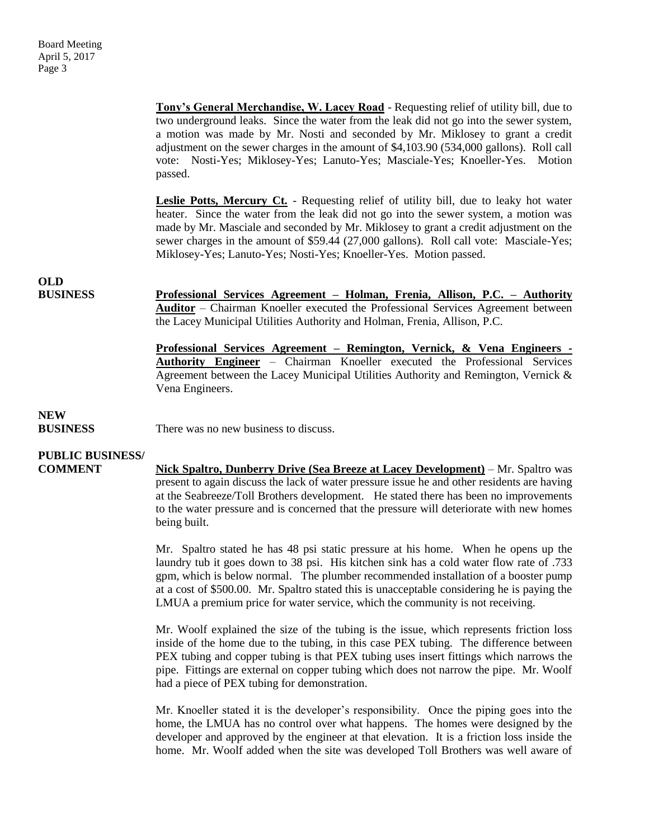**Tony's General Merchandise, W. Lacey Road** - Requesting relief of utility bill, due to two underground leaks. Since the water from the leak did not go into the sewer system, a motion was made by Mr. Nosti and seconded by Mr. Miklosey to grant a credit adjustment on the sewer charges in the amount of \$4,103.90 (534,000 gallons). Roll call vote: Nosti-Yes; Miklosey-Yes; Lanuto-Yes; Masciale-Yes; Knoeller-Yes. Motion passed.

Leslie Potts, Mercury Ct. - Requesting relief of utility bill, due to leaky hot water heater. Since the water from the leak did not go into the sewer system, a motion was made by Mr. Masciale and seconded by Mr. Miklosey to grant a credit adjustment on the sewer charges in the amount of \$59.44 (27,000 gallons). Roll call vote: Masciale-Yes; Miklosey-Yes; Lanuto-Yes; Nosti-Yes; Knoeller-Yes. Motion passed.

## **OLD**

**BUSINESS Professional Services Agreement – Holman, Frenia, Allison, P.C. – Authority Auditor** – Chairman Knoeller executed the Professional Services Agreement between the Lacey Municipal Utilities Authority and Holman, Frenia, Allison, P.C.

> **Professional Services Agreement – Remington, Vernick, & Vena Engineers - Authority Engineer** – Chairman Knoeller executed the Professional Services Agreement between the Lacey Municipal Utilities Authority and Remington, Vernick & Vena Engineers.

## **NEW**

**BUSINESS** There was no new business to discuss.

### **PUBLIC BUSINESS/**

**COMMENT Nick Spaltro, Dunberry Drive (Sea Breeze at Lacey Development)** – Mr. Spaltro was present to again discuss the lack of water pressure issue he and other residents are having at the Seabreeze/Toll Brothers development. He stated there has been no improvements to the water pressure and is concerned that the pressure will deteriorate with new homes being built.

> Mr. Spaltro stated he has 48 psi static pressure at his home. When he opens up the laundry tub it goes down to 38 psi. His kitchen sink has a cold water flow rate of .733 gpm, which is below normal. The plumber recommended installation of a booster pump at a cost of \$500.00. Mr. Spaltro stated this is unacceptable considering he is paying the LMUA a premium price for water service, which the community is not receiving.

> Mr. Woolf explained the size of the tubing is the issue, which represents friction loss inside of the home due to the tubing, in this case PEX tubing. The difference between PEX tubing and copper tubing is that PEX tubing uses insert fittings which narrows the pipe. Fittings are external on copper tubing which does not narrow the pipe. Mr. Woolf had a piece of PEX tubing for demonstration.

> Mr. Knoeller stated it is the developer's responsibility. Once the piping goes into the home, the LMUA has no control over what happens. The homes were designed by the developer and approved by the engineer at that elevation. It is a friction loss inside the home. Mr. Woolf added when the site was developed Toll Brothers was well aware of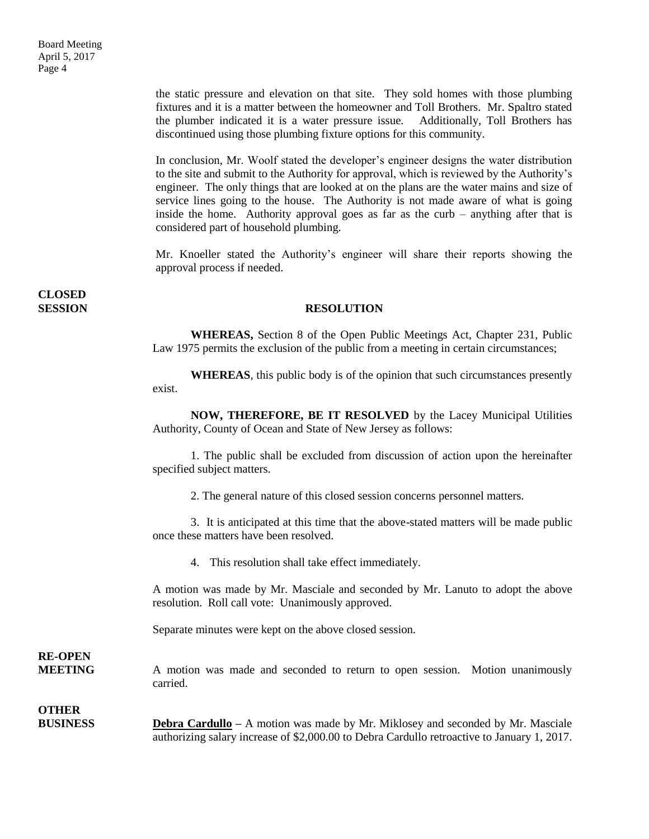the static pressure and elevation on that site. They sold homes with those plumbing fixtures and it is a matter between the homeowner and Toll Brothers. Mr. Spaltro stated the plumber indicated it is a water pressure issue. Additionally, Toll Brothers has discontinued using those plumbing fixture options for this community.

In conclusion, Mr. Woolf stated the developer's engineer designs the water distribution to the site and submit to the Authority for approval, which is reviewed by the Authority's engineer. The only things that are looked at on the plans are the water mains and size of service lines going to the house. The Authority is not made aware of what is going inside the home. Authority approval goes as far as the curb – anything after that is considered part of household plumbing.

Mr. Knoeller stated the Authority's engineer will share their reports showing the approval process if needed.

# **CLOSED**

#### **SESSION RESOLUTION**

**WHEREAS,** Section 8 of the Open Public Meetings Act, Chapter 231, Public Law 1975 permits the exclusion of the public from a meeting in certain circumstances;

**WHEREAS**, this public body is of the opinion that such circumstances presently exist.

**NOW, THEREFORE, BE IT RESOLVED** by the Lacey Municipal Utilities Authority, County of Ocean and State of New Jersey as follows:

1. The public shall be excluded from discussion of action upon the hereinafter specified subject matters.

2. The general nature of this closed session concerns personnel matters.

3. It is anticipated at this time that the above-stated matters will be made public once these matters have been resolved.

4. This resolution shall take effect immediately.

A motion was made by Mr. Masciale and seconded by Mr. Lanuto to adopt the above resolution. Roll call vote: Unanimously approved.

Separate minutes were kept on the above closed session.

# **RE-OPEN**

**MEETING** A motion was made and seconded to return to open session. Motion unanimously carried.

### **OTHER**

**BUSINESS Debra Cardullo –** A motion was made by Mr. Miklosey and seconded by Mr. Masciale authorizing salary increase of \$2,000.00 to Debra Cardullo retroactive to January 1, 2017.